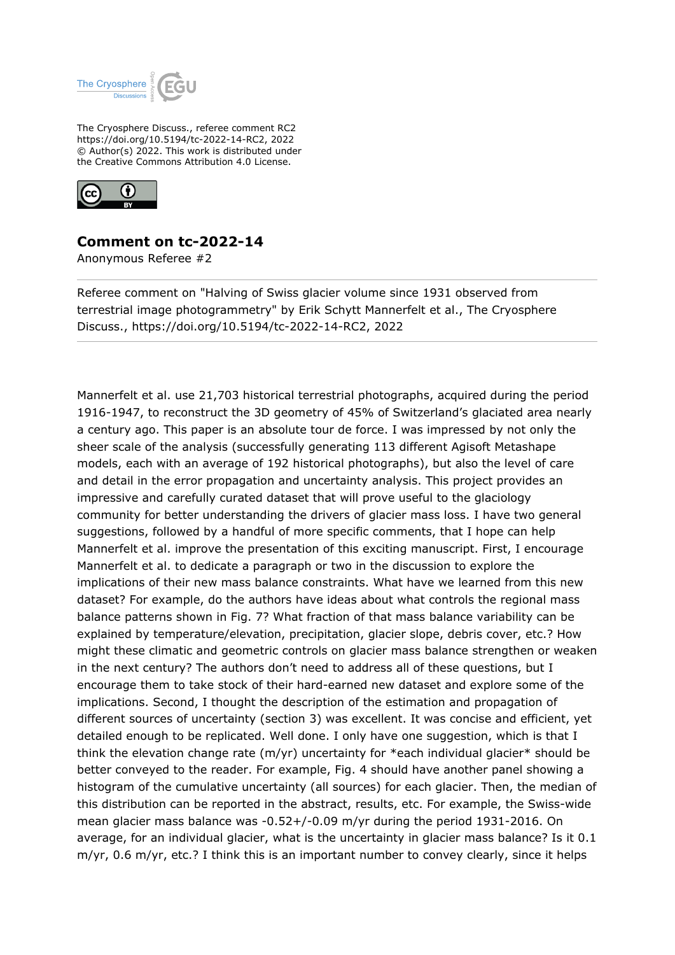

The Cryosphere Discuss., referee comment RC2 https://doi.org/10.5194/tc-2022-14-RC2, 2022 © Author(s) 2022. This work is distributed under the Creative Commons Attribution 4.0 License.



## **Comment on tc-2022-14**

Anonymous Referee #2

Referee comment on "Halving of Swiss glacier volume since 1931 observed from terrestrial image photogrammetry" by Erik Schytt Mannerfelt et al., The Cryosphere Discuss., https://doi.org/10.5194/tc-2022-14-RC2, 2022

Mannerfelt et al. use 21,703 historical terrestrial photographs, acquired during the period 1916-1947, to reconstruct the 3D geometry of 45% of Switzerland's glaciated area nearly a century ago. This paper is an absolute tour de force. I was impressed by not only the sheer scale of the analysis (successfully generating 113 different Agisoft Metashape models, each with an average of 192 historical photographs), but also the level of care and detail in the error propagation and uncertainty analysis. This project provides an impressive and carefully curated dataset that will prove useful to the glaciology community for better understanding the drivers of glacier mass loss. I have two general suggestions, followed by a handful of more specific comments, that I hope can help Mannerfelt et al. improve the presentation of this exciting manuscript. First, I encourage Mannerfelt et al. to dedicate a paragraph or two in the discussion to explore the implications of their new mass balance constraints. What have we learned from this new dataset? For example, do the authors have ideas about what controls the regional mass balance patterns shown in Fig. 7? What fraction of that mass balance variability can be explained by temperature/elevation, precipitation, glacier slope, debris cover, etc.? How might these climatic and geometric controls on glacier mass balance strengthen or weaken in the next century? The authors don't need to address all of these questions, but I encourage them to take stock of their hard-earned new dataset and explore some of the implications. Second, I thought the description of the estimation and propagation of different sources of uncertainty (section 3) was excellent. It was concise and efficient, yet detailed enough to be replicated. Well done. I only have one suggestion, which is that I think the elevation change rate (m/yr) uncertainty for \*each individual glacier\* should be better conveyed to the reader. For example, Fig. 4 should have another panel showing a histogram of the cumulative uncertainty (all sources) for each glacier. Then, the median of this distribution can be reported in the abstract, results, etc. For example, the Swiss-wide mean glacier mass balance was -0.52+/-0.09 m/yr during the period 1931-2016. On average, for an individual glacier, what is the uncertainty in glacier mass balance? Is it 0.1 m/yr, 0.6 m/yr, etc.? I think this is an important number to convey clearly, since it helps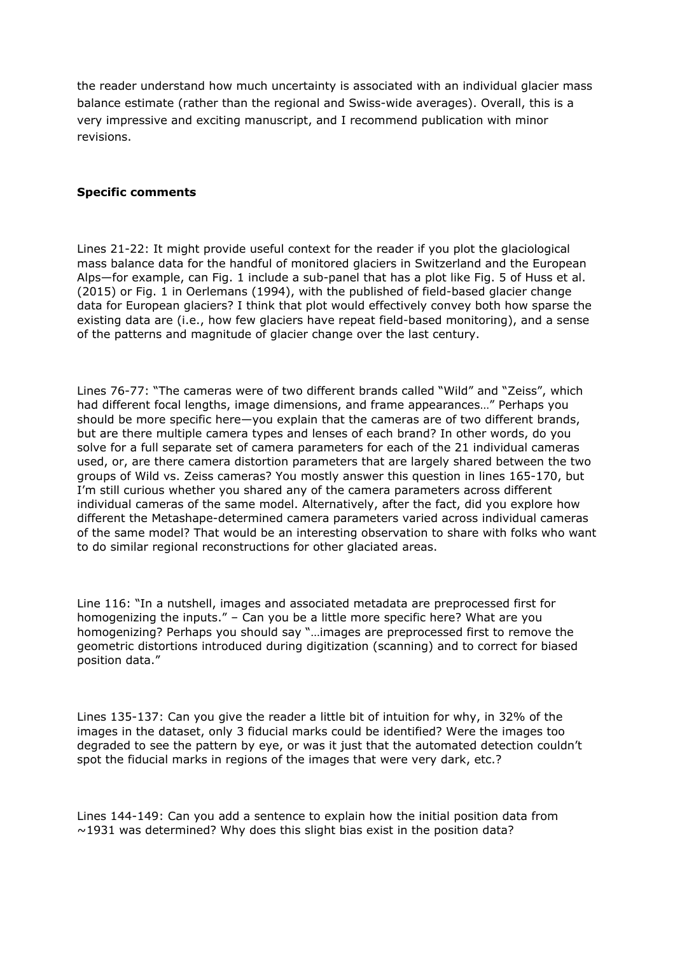the reader understand how much uncertainty is associated with an individual glacier mass balance estimate (rather than the regional and Swiss-wide averages). Overall, this is a very impressive and exciting manuscript, and I recommend publication with minor revisions.

## **Specific comments**

Lines 21-22: It might provide useful context for the reader if you plot the glaciological mass balance data for the handful of monitored glaciers in Switzerland and the European Alps—for example, can Fig. 1 include a sub-panel that has a plot like Fig. 5 of Huss et al. (2015) or Fig. 1 in Oerlemans (1994), with the published of field-based glacier change data for European glaciers? I think that plot would effectively convey both how sparse the existing data are (i.e., how few glaciers have repeat field-based monitoring), and a sense of the patterns and magnitude of glacier change over the last century.

Lines 76-77: "The cameras were of two different brands called "Wild" and "Zeiss", which had different focal lengths, image dimensions, and frame appearances…" Perhaps you should be more specific here—you explain that the cameras are of two different brands, but are there multiple camera types and lenses of each brand? In other words, do you solve for a full separate set of camera parameters for each of the 21 individual cameras used, or, are there camera distortion parameters that are largely shared between the two groups of Wild vs. Zeiss cameras? You mostly answer this question in lines 165-170, but I'm still curious whether you shared any of the camera parameters across different individual cameras of the same model. Alternatively, after the fact, did you explore how different the Metashape-determined camera parameters varied across individual cameras of the same model? That would be an interesting observation to share with folks who want to do similar regional reconstructions for other glaciated areas.

Line 116: "In a nutshell, images and associated metadata are preprocessed first for homogenizing the inputs." – Can you be a little more specific here? What are you homogenizing? Perhaps you should say "…images are preprocessed first to remove the geometric distortions introduced during digitization (scanning) and to correct for biased position data."

Lines 135-137: Can you give the reader a little bit of intuition for why, in 32% of the images in the dataset, only 3 fiducial marks could be identified? Were the images too degraded to see the pattern by eye, or was it just that the automated detection couldn't spot the fiducial marks in regions of the images that were very dark, etc.?

Lines 144-149: Can you add a sentence to explain how the initial position data from  $\sim$ 1931 was determined? Why does this slight bias exist in the position data?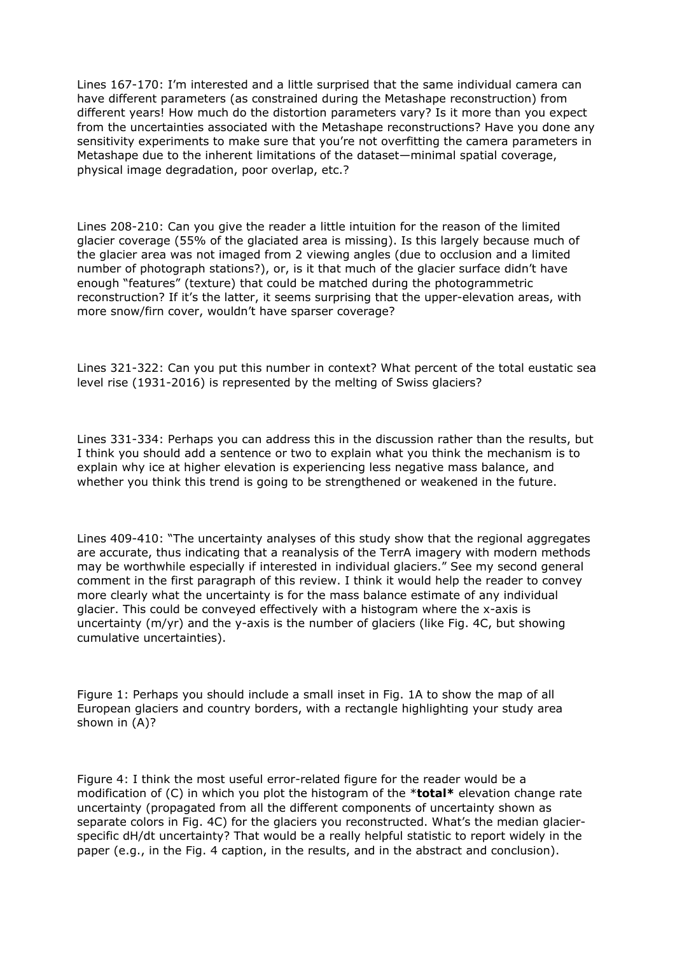Lines 167-170: I'm interested and a little surprised that the same individual camera can have different parameters (as constrained during the Metashape reconstruction) from different years! How much do the distortion parameters vary? Is it more than you expect from the uncertainties associated with the Metashape reconstructions? Have you done any sensitivity experiments to make sure that you're not overfitting the camera parameters in Metashape due to the inherent limitations of the dataset—minimal spatial coverage, physical image degradation, poor overlap, etc.?

Lines 208-210: Can you give the reader a little intuition for the reason of the limited glacier coverage (55% of the glaciated area is missing). Is this largely because much of the glacier area was not imaged from 2 viewing angles (due to occlusion and a limited number of photograph stations?), or, is it that much of the glacier surface didn't have enough "features" (texture) that could be matched during the photogrammetric reconstruction? If it's the latter, it seems surprising that the upper-elevation areas, with more snow/firn cover, wouldn't have sparser coverage?

Lines 321-322: Can you put this number in context? What percent of the total eustatic sea level rise (1931-2016) is represented by the melting of Swiss glaciers?

Lines 331-334: Perhaps you can address this in the discussion rather than the results, but I think you should add a sentence or two to explain what you think the mechanism is to explain why ice at higher elevation is experiencing less negative mass balance, and whether you think this trend is going to be strengthened or weakened in the future.

Lines 409-410: "The uncertainty analyses of this study show that the regional aggregates are accurate, thus indicating that a reanalysis of the TerrA imagery with modern methods may be worthwhile especially if interested in individual glaciers." See my second general comment in the first paragraph of this review. I think it would help the reader to convey more clearly what the uncertainty is for the mass balance estimate of any individual glacier. This could be conveyed effectively with a histogram where the x-axis is uncertainty (m/yr) and the y-axis is the number of glaciers (like Fig. 4C, but showing cumulative uncertainties).

Figure 1: Perhaps you should include a small inset in Fig. 1A to show the map of all European glaciers and country borders, with a rectangle highlighting your study area shown in (A)?

Figure 4: I think the most useful error-related figure for the reader would be a modification of (C) in which you plot the histogram of the \***total\*** elevation change rate uncertainty (propagated from all the different components of uncertainty shown as separate colors in Fig. 4C) for the glaciers you reconstructed. What's the median glacierspecific dH/dt uncertainty? That would be a really helpful statistic to report widely in the paper (e.g., in the Fig. 4 caption, in the results, and in the abstract and conclusion).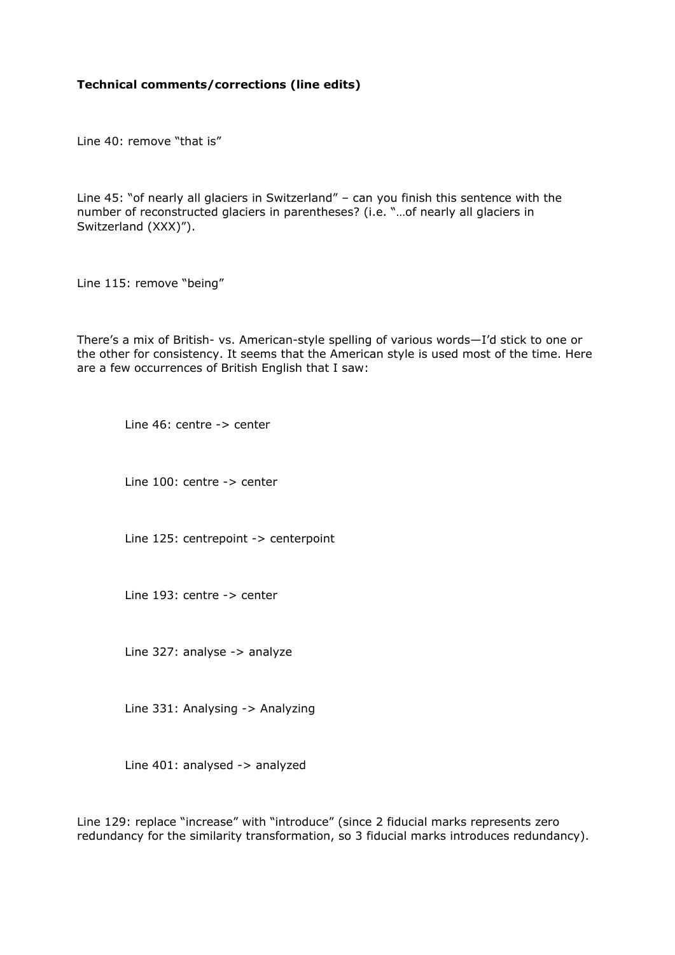## **Technical comments/corrections (line edits)**

Line 40: remove "that is"

Line 45: "of nearly all glaciers in Switzerland" – can you finish this sentence with the number of reconstructed glaciers in parentheses? (i.e. "…of nearly all glaciers in Switzerland (XXX)").

Line 115: remove "being"

There's a mix of British- vs. American-style spelling of various words—I'd stick to one or the other for consistency. It seems that the American style is used most of the time. Here are a few occurrences of British English that I saw:

Line 46: centre -> center

Line 100: centre -> center

Line 125: centrepoint -> centerpoint

Line 193: centre -> center

Line 327: analyse -> analyze

Line 331: Analysing -> Analyzing

Line 401: analysed -> analyzed

Line 129: replace "increase" with "introduce" (since 2 fiducial marks represents zero redundancy for the similarity transformation, so 3 fiducial marks introduces redundancy).